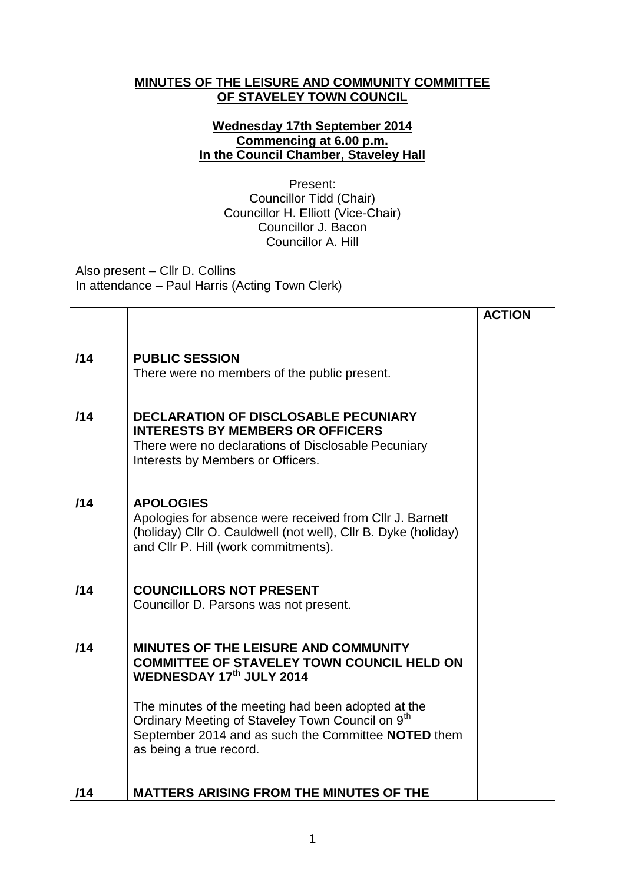## **MINUTES OF THE LEISURE AND COMMUNITY COMMITTEE OF STAVELEY TOWN COUNCIL**

## **Wednesday 17th September 2014 Commencing at 6.00 p.m. In the Council Chamber, Staveley Hall**

Present: Councillor Tidd (Chair) Councillor H. Elliott (Vice-Chair) Councillor J. Bacon Councillor A. Hill

Also present – Cllr D. Collins In attendance – Paul Harris (Acting Town Clerk)

|     |                                                                                                                                                                                                      | <b>ACTION</b> |
|-----|------------------------------------------------------------------------------------------------------------------------------------------------------------------------------------------------------|---------------|
| /14 | <b>PUBLIC SESSION</b><br>There were no members of the public present.                                                                                                                                |               |
| 114 | <b>DECLARATION OF DISCLOSABLE PECUNIARY</b><br><b>INTERESTS BY MEMBERS OR OFFICERS</b><br>There were no declarations of Disclosable Pecuniary<br>Interests by Members or Officers.                   |               |
| /14 | <b>APOLOGIES</b><br>Apologies for absence were received from CIIr J. Barnett<br>(holiday) Cllr O. Cauldwell (not well), Cllr B. Dyke (holiday)<br>and Cllr P. Hill (work commitments).               |               |
| 114 | <b>COUNCILLORS NOT PRESENT</b><br>Councillor D. Parsons was not present.                                                                                                                             |               |
| 114 | MINUTES OF THE LEISURE AND COMMUNITY<br><b>COMMITTEE OF STAVELEY TOWN COUNCIL HELD ON</b><br>WEDNESDAY 17th JULY 2014                                                                                |               |
|     | The minutes of the meeting had been adopted at the<br>Ordinary Meeting of Staveley Town Council on 9 <sup>th</sup><br>September 2014 and as such the Committee NOTED them<br>as being a true record. |               |
| /14 | <b>MATTERS ARISING FROM THE MINUTES OF THE</b>                                                                                                                                                       |               |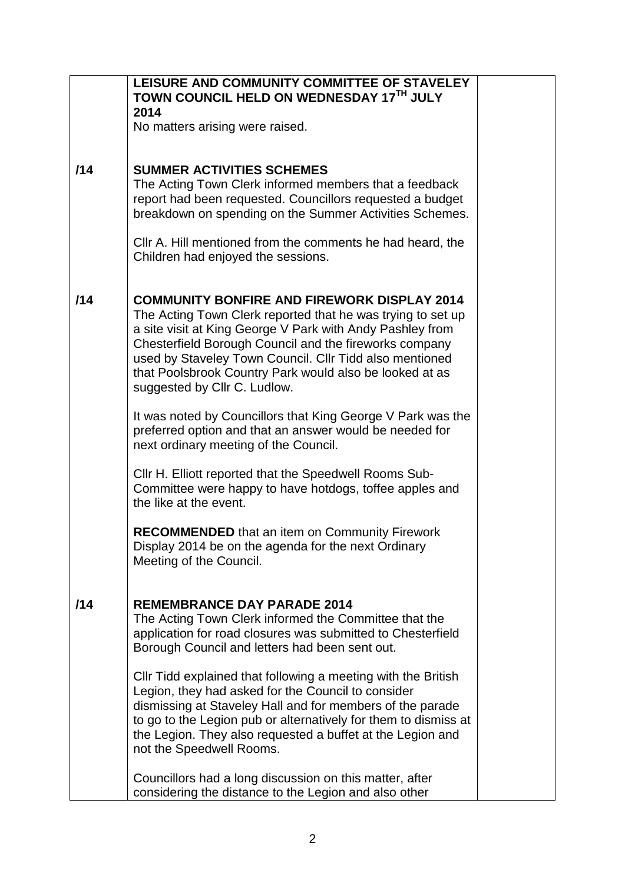|     | LEISURE AND COMMUNITY COMMITTEE OF STAVELEY<br>TOWN COUNCIL HELD ON WEDNESDAY 17TH JULY<br>2014                                                                                                                                                                                                                                                                                                |
|-----|------------------------------------------------------------------------------------------------------------------------------------------------------------------------------------------------------------------------------------------------------------------------------------------------------------------------------------------------------------------------------------------------|
|     | No matters arising were raised.                                                                                                                                                                                                                                                                                                                                                                |
| 114 | <b>SUMMER ACTIVITIES SCHEMES</b><br>The Acting Town Clerk informed members that a feedback<br>report had been requested. Councillors requested a budget<br>breakdown on spending on the Summer Activities Schemes.                                                                                                                                                                             |
|     | CIIr A. Hill mentioned from the comments he had heard, the<br>Children had enjoyed the sessions.                                                                                                                                                                                                                                                                                               |
| /14 | <b>COMMUNITY BONFIRE AND FIREWORK DISPLAY 2014</b><br>The Acting Town Clerk reported that he was trying to set up<br>a site visit at King George V Park with Andy Pashley from<br>Chesterfield Borough Council and the fireworks company<br>used by Staveley Town Council. Cllr Tidd also mentioned<br>that Poolsbrook Country Park would also be looked at as<br>suggested by Cllr C. Ludlow. |
|     | It was noted by Councillors that King George V Park was the<br>preferred option and that an answer would be needed for<br>next ordinary meeting of the Council.                                                                                                                                                                                                                                |
|     | Cllr H. Elliott reported that the Speedwell Rooms Sub-<br>Committee were happy to have hotdogs, toffee apples and<br>the like at the event.                                                                                                                                                                                                                                                    |
|     | <b>RECOMMENDED</b> that an item on Community Firework<br>Display 2014 be on the agenda for the next Ordinary<br>Meeting of the Council.                                                                                                                                                                                                                                                        |
| 114 | <b>REMEMBRANCE DAY PARADE 2014</b><br>The Acting Town Clerk informed the Committee that the<br>application for road closures was submitted to Chesterfield<br>Borough Council and letters had been sent out.                                                                                                                                                                                   |
|     | Cllr Tidd explained that following a meeting with the British<br>Legion, they had asked for the Council to consider<br>dismissing at Staveley Hall and for members of the parade<br>to go to the Legion pub or alternatively for them to dismiss at<br>the Legion. They also requested a buffet at the Legion and<br>not the Speedwell Rooms.                                                  |
|     | Councillors had a long discussion on this matter, after<br>considering the distance to the Legion and also other                                                                                                                                                                                                                                                                               |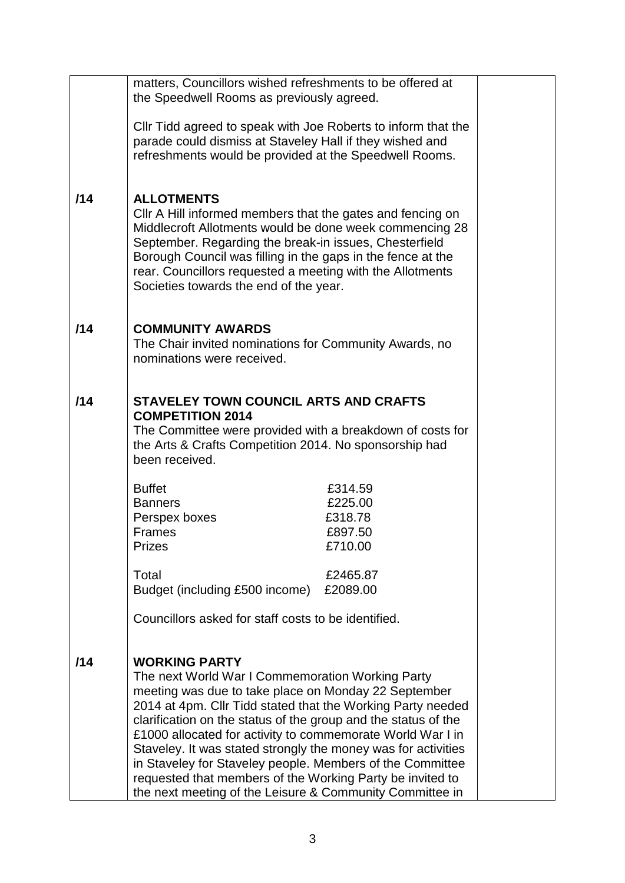|     | matters, Councillors wished refreshments to be offered at<br>the Speedwell Rooms as previously agreed.                                                                                                                                                                                                                                                                                                                                                                                                                                                                                 |  |
|-----|----------------------------------------------------------------------------------------------------------------------------------------------------------------------------------------------------------------------------------------------------------------------------------------------------------------------------------------------------------------------------------------------------------------------------------------------------------------------------------------------------------------------------------------------------------------------------------------|--|
|     | CIIr Tidd agreed to speak with Joe Roberts to inform that the<br>parade could dismiss at Staveley Hall if they wished and<br>refreshments would be provided at the Speedwell Rooms.                                                                                                                                                                                                                                                                                                                                                                                                    |  |
| /14 | <b>ALLOTMENTS</b><br>CIIr A Hill informed members that the gates and fencing on<br>Middlecroft Allotments would be done week commencing 28<br>September. Regarding the break-in issues, Chesterfield<br>Borough Council was filling in the gaps in the fence at the<br>rear. Councillors requested a meeting with the Allotments<br>Societies towards the end of the year.                                                                                                                                                                                                             |  |
| /14 | <b>COMMUNITY AWARDS</b><br>The Chair invited nominations for Community Awards, no<br>nominations were received.                                                                                                                                                                                                                                                                                                                                                                                                                                                                        |  |
| 114 | <b>STAVELEY TOWN COUNCIL ARTS AND CRAFTS</b><br><b>COMPETITION 2014</b><br>The Committee were provided with a breakdown of costs for<br>the Arts & Crafts Competition 2014. No sponsorship had<br>been received.                                                                                                                                                                                                                                                                                                                                                                       |  |
|     | <b>Buffet</b><br>£314.59<br>£225.00<br><b>Banners</b><br>£318.78<br>Perspex boxes<br><b>Frames</b><br>£897.50<br><b>Prizes</b><br>£710.00<br>Total<br>£2465.87<br>Budget (including £500 income)<br>£2089.00<br>Councillors asked for staff costs to be identified.                                                                                                                                                                                                                                                                                                                    |  |
| /14 | <b>WORKING PARTY</b><br>The next World War I Commemoration Working Party<br>meeting was due to take place on Monday 22 September<br>2014 at 4pm. Cllr Tidd stated that the Working Party needed<br>clarification on the status of the group and the status of the<br>£1000 allocated for activity to commemorate World War I in<br>Staveley. It was stated strongly the money was for activities<br>in Staveley for Staveley people. Members of the Committee<br>requested that members of the Working Party be invited to<br>the next meeting of the Leisure & Community Committee in |  |